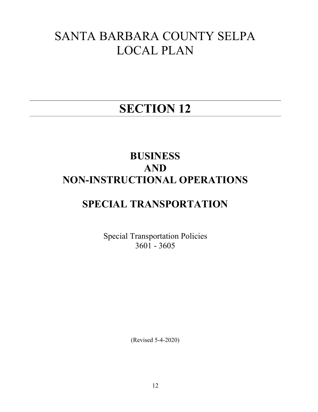# SANTA BARBARA COUNTY SELPA LOCAL PLAN

# SECTION 12

# BUSINESS AND NON-INSTRUCTIONAL OPERATIONS

# SPECIAL TRANSPORTATION

Special Transportation Policies 3601 - 3605

(Revised 5-4-2020)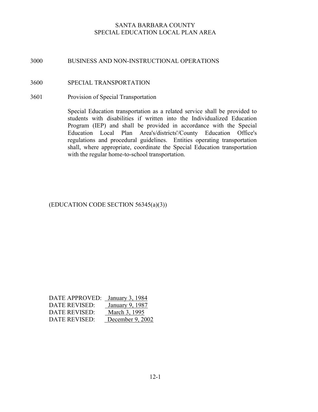### 3000 BUSINESS AND NON-INSTRUCTIONAL OPERATIONS

#### 3600 SPECIAL TRANSPORTATION

3601 Provision of Special Transportation

Special Education transportation as a related service shall be provided to students with disabilities if written into the Individualized Education Program (IEP) and shall be provided in accordance with the Special Education Local Plan Area's/districts'/County Education Office's regulations and procedural guidelines. Entities operating transportation shall, where appropriate, coordinate the Special Education transportation with the regular home-to-school transportation.

# (EDUCATION CODE SECTION 56345(a)(3))

| DATE APPROVED: January 3, 1984 |                  |
|--------------------------------|------------------|
| <b>DATE REVISED:</b>           | January 9, 1987  |
| DATE REVISED:                  | March 3, 1995    |
| <b>DATE REVISED:</b>           | December 9, 2002 |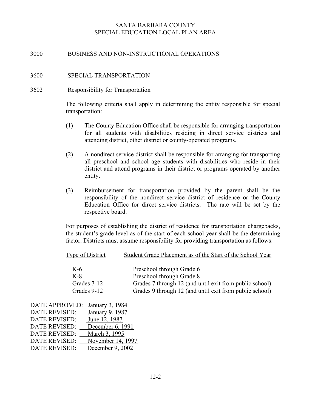#### 3000 BUSINESS AND NON-INSTRUCTIONAL OPERATIONS

#### 3600 SPECIAL TRANSPORTATION

#### 3602 Responsibility for Transportation

The following criteria shall apply in determining the entity responsible for special transportation:

- (1) The County Education Office shall be responsible for arranging transportation for all students with disabilities residing in direct service districts and attending district, other district or county-operated programs.
- (2) A nondirect service district shall be responsible for arranging for transporting all preschool and school age students with disabilities who reside in their district and attend programs in their district or programs operated by another entity.
- (3) Reimbursement for transportation provided by the parent shall be the responsibility of the nondirect service district of residence or the County Education Office for direct service districts. The rate will be set by the respective board.

For purposes of establishing the district of residence for transportation chargebacks, the student's grade level as of the start of each school year shall be the determining factor. Districts must assume responsibility for providing transportation as follows:

| Type of District | Student Grade Placement as of the Start of the School Year |
|------------------|------------------------------------------------------------|
| K-6              | Preschool through Grade 6                                  |
| $K-8$            | Preschool through Grade 8                                  |
| Grades 7-12      | Grades 7 through 12 (and until exit from public school)    |
| Grades 9-12      | Grades 9 through 12 (and until exit from public school)    |

| <b>DATE APPROVED:</b> | January 3, 1984   |
|-----------------------|-------------------|
| <b>DATE REVISED:</b>  | January 9, 1987   |
| <b>DATE REVISED:</b>  | June 12, 1987     |
| <b>DATE REVISED:</b>  | December 6, 1991  |
| <b>DATE REVISED:</b>  | March 3, 1995     |
| <b>DATE REVISED:</b>  | November 14, 1997 |
| <b>DATE REVISED:</b>  | December 9, 2002  |
|                       |                   |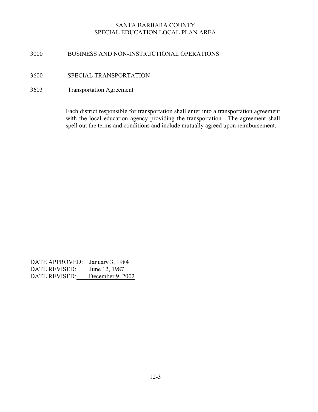### 3000 BUSINESS AND NON-INSTRUCTIONAL OPERATIONS

# 3600 SPECIAL TRANSPORTATION

3603 Transportation Agreement

Each district responsible for transportation shall enter into a transportation agreement with the local education agency providing the transportation. The agreement shall spell out the terms and conditions and include mutually agreed upon reimbursement.

DATE APPROVED: January 3, 1984 DATE REVISED: June 12, 1987 DATE REVISED: December 9, 2002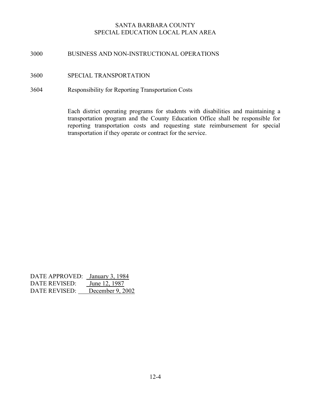#### 3000 BUSINESS AND NON-INSTRUCTIONAL OPERATIONS

3600 SPECIAL TRANSPORTATION

#### 3604 Responsibility for Reporting Transportation Costs

Each district operating programs for students with disabilities and maintaining a transportation program and the County Education Office shall be responsible for reporting transportation costs and requesting state reimbursement for special transportation if they operate or contract for the service.

DATE APPROVED: January 3, 1984 DATE REVISED: June 12, 1987 DATE REVISED: December 9, 2002